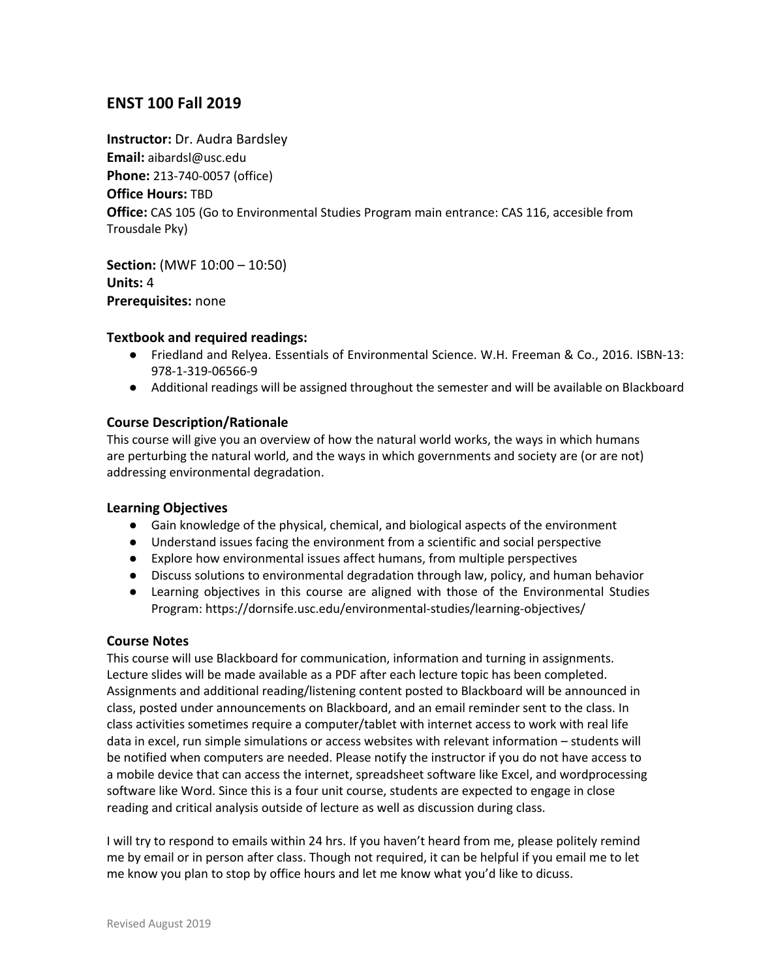# **ENST 100 Fall 2019**

**Instructor:** Dr. Audra Bardsley **Email:** aibardsl@usc.edu **Phone:** 213-740-0057 (office) **Office Hours:** TBD **Office:** CAS 105 (Go to Environmental Studies Program main entrance: CAS 116, accesible from Trousdale Pky)

**Section:** (MWF 10:00 – 10:50) **Units:** 4 **Prerequisites:** none

#### **Textbook and required readings:**

- Friedland and Relyea. Essentials of Environmental Science. W.H. Freeman & Co., 2016. ISBN-13: 978-1-319-06566-9
- Additional readings will be assigned throughout the semester and will be available on Blackboard

### **Course Description/Rationale**

This course will give you an overview of how the natural world works, the ways in which humans are perturbing the natural world, and the ways in which governments and society are (or are not) addressing environmental degradation.

#### **Learning Objectives**

- Gain knowledge of the physical, chemical, and biological aspects of the environment
- Understand issues facing the environment from a scientific and social perspective
- Explore how environmental issues affect humans, from multiple perspectives
- Discuss solutions to environmental degradation through law, policy, and human behavior
- Learning objectives in this course are aligned with those of the Environmental Studies Program: https://dornsife.usc.edu/environmental-studies/learning-objectives/

#### **Course Notes**

This course will use Blackboard for communication, information and turning in assignments. Lecture slides will be made available as a PDF after each lecture topic has been completed. Assignments and additional reading/listening content posted to Blackboard will be announced in class, posted under announcements on Blackboard, and an email reminder sent to the class. In class activities sometimes require a computer/tablet with internet access to work with real life data in excel, run simple simulations or access websites with relevant information – students will be notified when computers are needed. Please notify the instructor if you do not have access to a mobile device that can access the internet, spreadsheet software like Excel, and wordprocessing software like Word. Since this is a four unit course, students are expected to engage in close reading and critical analysis outside of lecture as well as discussion during class.

I will try to respond to emails within 24 hrs. If you haven't heard from me, please politely remind me by email or in person after class. Though not required, it can be helpful if you email me to let me know you plan to stop by office hours and let me know what you'd like to dicuss.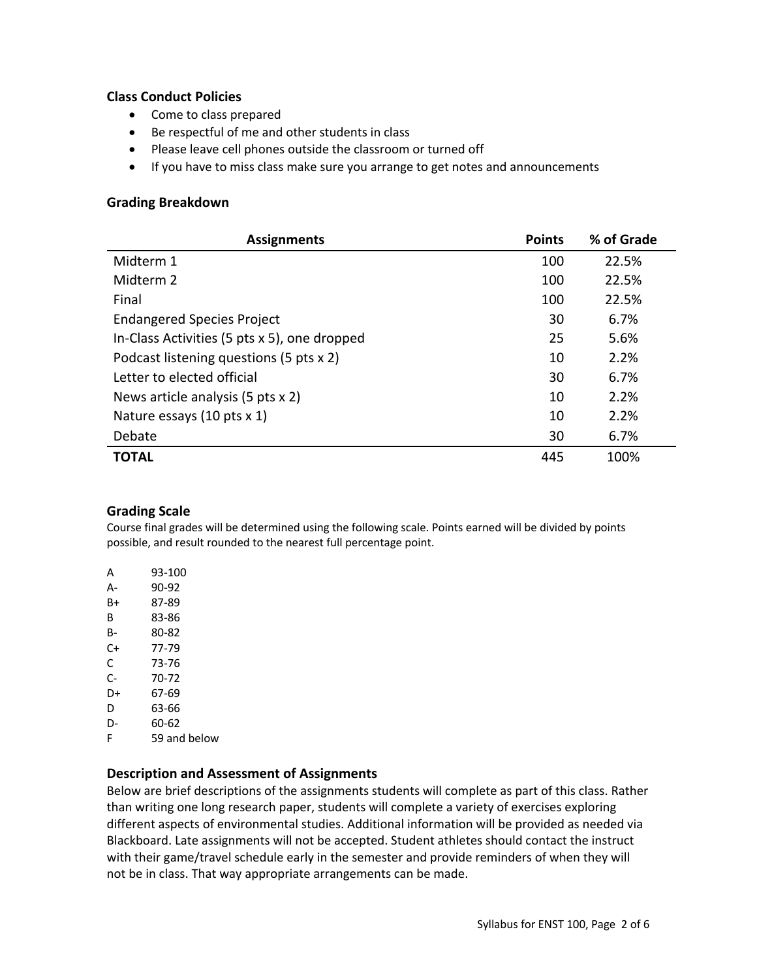### **Class Conduct Policies**

- Come to class prepared
- Be respectful of me and other students in class
- Please leave cell phones outside the classroom or turned off
- If you have to miss class make sure you arrange to get notes and announcements

## **Grading Breakdown**

| <b>Assignments</b>                           | <b>Points</b> | % of Grade |
|----------------------------------------------|---------------|------------|
| Midterm 1                                    | 100           | 22.5%      |
| Midterm 2                                    | 100           | 22.5%      |
| Final                                        | 100           | 22.5%      |
| <b>Endangered Species Project</b>            | 30            | 6.7%       |
| In-Class Activities (5 pts x 5), one dropped | 25            | 5.6%       |
| Podcast listening questions (5 pts x 2)      | 10            | 2.2%       |
| Letter to elected official                   | 30            | 6.7%       |
| News article analysis (5 pts x 2)            | 10            | 2.2%       |
| Nature essays (10 pts x 1)                   | 10            | 2.2%       |
| Debate                                       | 30            | 6.7%       |
| <b>TOTAL</b>                                 | 445           | 100%       |

### **Grading Scale**

Course final grades will be determined using the following scale. Points earned will be divided by points possible, and result rounded to the nearest full percentage point.

| А  | 93-100       |
|----|--------------|
| А- | 90-92        |
| B+ | 87-89        |
| в  | 83-86        |
| в- | 80-82        |
| C+ | 77-79        |
| C  | 73-76        |
| C- | 70-72        |
| D+ | 67-69        |
| D  | 63-66        |
| D- | 60-62        |
| F  | 59 and below |
|    |              |

### **Description and Assessment of Assignments**

Below are brief descriptions of the assignments students will complete as part of this class. Rather than writing one long research paper, students will complete a variety of exercises exploring different aspects of environmental studies. Additional information will be provided as needed via Blackboard. Late assignments will not be accepted. Student athletes should contact the instruct with their game/travel schedule early in the semester and provide reminders of when they will not be in class. That way appropriate arrangements can be made.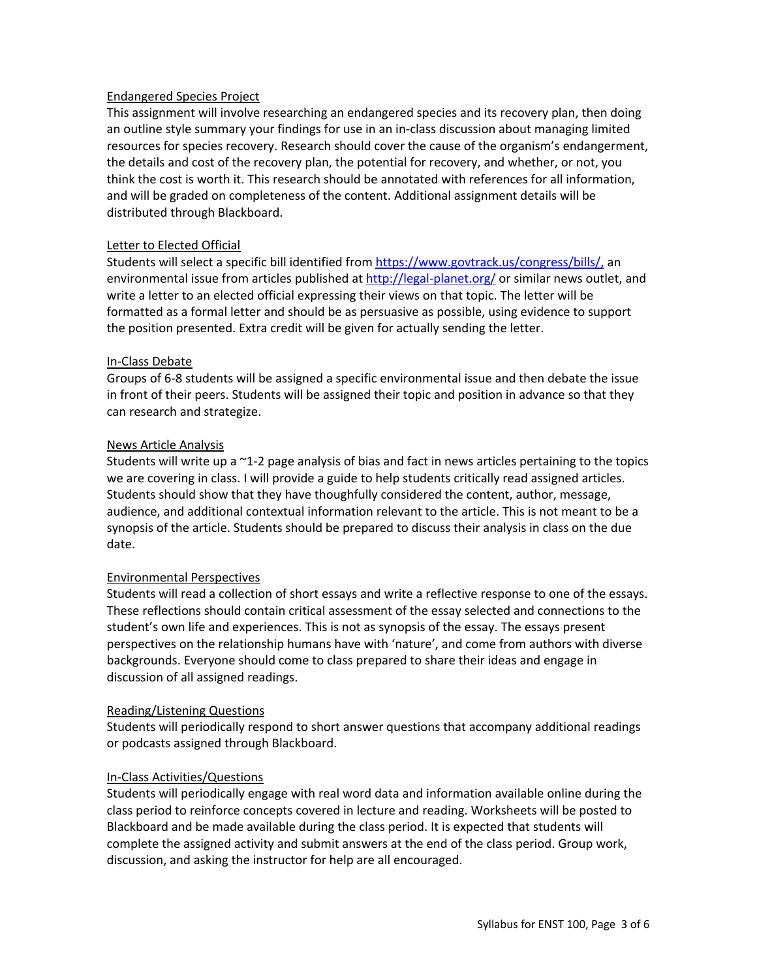### Endangered Species Project

This assignment will involve researching an endangered species and its recovery plan, then doing an outline style summary your findings for use in an in-class discussion about managing limited resources for species recovery. Research should cover the cause of the organism's endangerment, the details and cost of the recovery plan, the potential for recovery, and whether, or not, you think the cost is worth it. This research should be annotated with references for all information, and will be graded on completeness of the content. Additional assignment details will be distributed through Blackboard.

## Letter to Elected Official

Students will select a specific bill identified from https://www.govtrack.us/congress/bills/, an environmental issue from articles published at http://legal-planet.org/ or similar news outlet, and write a letter to an elected official expressing their views on that topic. The letter will be formatted as a formal letter and should be as persuasive as possible, using evidence to support the position presented. Extra credit will be given for actually sending the letter.

### In-Class Debate

Groups of 6-8 students will be assigned a specific environmental issue and then debate the issue in front of their peers. Students will be assigned their topic and position in advance so that they can research and strategize.

## News Article Analysis

Students will write up a ~1-2 page analysis of bias and fact in news articles pertaining to the topics we are covering in class. I will provide a guide to help students critically read assigned articles. Students should show that they have thoughfully considered the content, author, message, audience, and additional contextual information relevant to the article. This is not meant to be a synopsis of the article. Students should be prepared to discuss their analysis in class on the due date.

### Environmental Perspectives

Students will read a collection of short essays and write a reflective response to one of the essays. These reflections should contain critical assessment of the essay selected and connections to the student's own life and experiences. This is not as synopsis of the essay. The essays present perspectives on the relationship humans have with 'nature', and come from authors with diverse backgrounds. Everyone should come to class prepared to share their ideas and engage in discussion of all assigned readings.

### Reading/Listening Questions

Students will periodically respond to short answer questions that accompany additional readings or podcasts assigned through Blackboard.

### In-Class Activities/Questions

Students will periodically engage with real word data and information available online during the class period to reinforce concepts covered in lecture and reading. Worksheets will be posted to Blackboard and be made available during the class period. It is expected that students will complete the assigned activity and submit answers at the end of the class period. Group work, discussion, and asking the instructor for help are all encouraged.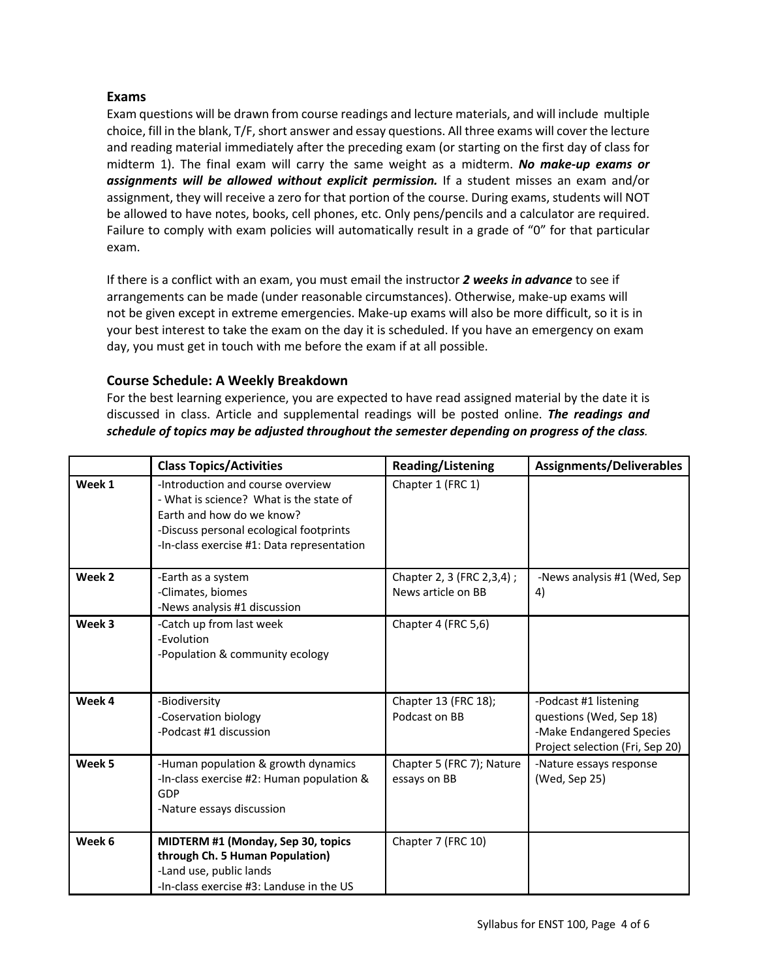## **Exams**

Exam questions will be drawn from course readings and lecture materials, and will include multiple choice, fill in the blank, T/F, short answer and essay questions. All three exams will cover the lecture and reading material immediately after the preceding exam (or starting on the first day of class for midterm 1). The final exam will carry the same weight as a midterm. *No make-up exams or assignments will be allowed without explicit permission.* If a student misses an exam and/or assignment, they will receive a zero for that portion of the course. During exams, students will NOT be allowed to have notes, books, cell phones, etc. Only pens/pencils and a calculator are required. Failure to comply with exam policies will automatically result in a grade of "0" for that particular exam.

If there is a conflict with an exam, you must email the instructor *2 weeks in advance* to see if arrangements can be made (under reasonable circumstances). Otherwise, make-up exams will not be given except in extreme emergencies. Make-up exams will also be more difficult, so it is in your best interest to take the exam on the day it is scheduled. If you have an emergency on exam day, you must get in touch with me before the exam if at all possible.

## **Course Schedule: A Weekly Breakdown**

For the best learning experience, you are expected to have read assigned material by the date it is discussed in class. Article and supplemental readings will be posted online. *The readings and schedule of topics may be adjusted throughout the semester depending on progress of the class.*

|        | <b>Class Topics/Activities</b>                                                                                                                                                                     | <b>Reading/Listening</b>                           | <b>Assignments/Deliverables</b>                                                                                 |
|--------|----------------------------------------------------------------------------------------------------------------------------------------------------------------------------------------------------|----------------------------------------------------|-----------------------------------------------------------------------------------------------------------------|
| Week 1 | -Introduction and course overview<br>- What is science? What is the state of<br>Earth and how do we know?<br>-Discuss personal ecological footprints<br>-In-class exercise #1: Data representation | Chapter 1 (FRC 1)                                  |                                                                                                                 |
| Week 2 | -Earth as a system<br>-Climates, biomes<br>-News analysis #1 discussion                                                                                                                            | Chapter 2, 3 (FRC 2, 3, 4) ;<br>News article on BB | -News analysis #1 (Wed, Sep<br>4)                                                                               |
| Week 3 | -Catch up from last week<br>-Evolution<br>-Population & community ecology                                                                                                                          | Chapter 4 (FRC 5,6)                                |                                                                                                                 |
| Week 4 | -Biodiversity<br>-Coservation biology<br>-Podcast #1 discussion                                                                                                                                    | Chapter 13 (FRC 18);<br>Podcast on BB              | -Podcast #1 listening<br>questions (Wed, Sep 18)<br>-Make Endangered Species<br>Project selection (Fri, Sep 20) |
| Week 5 | -Human population & growth dynamics<br>-In-class exercise #2: Human population &<br>GDP<br>-Nature essays discussion                                                                               | Chapter 5 (FRC 7); Nature<br>essays on BB          | -Nature essays response<br>(Wed, Sep 25)                                                                        |
| Week 6 | MIDTERM #1 (Monday, Sep 30, topics<br>through Ch. 5 Human Population)<br>-Land use, public lands<br>-In-class exercise #3: Landuse in the US                                                       | Chapter 7 (FRC 10)                                 |                                                                                                                 |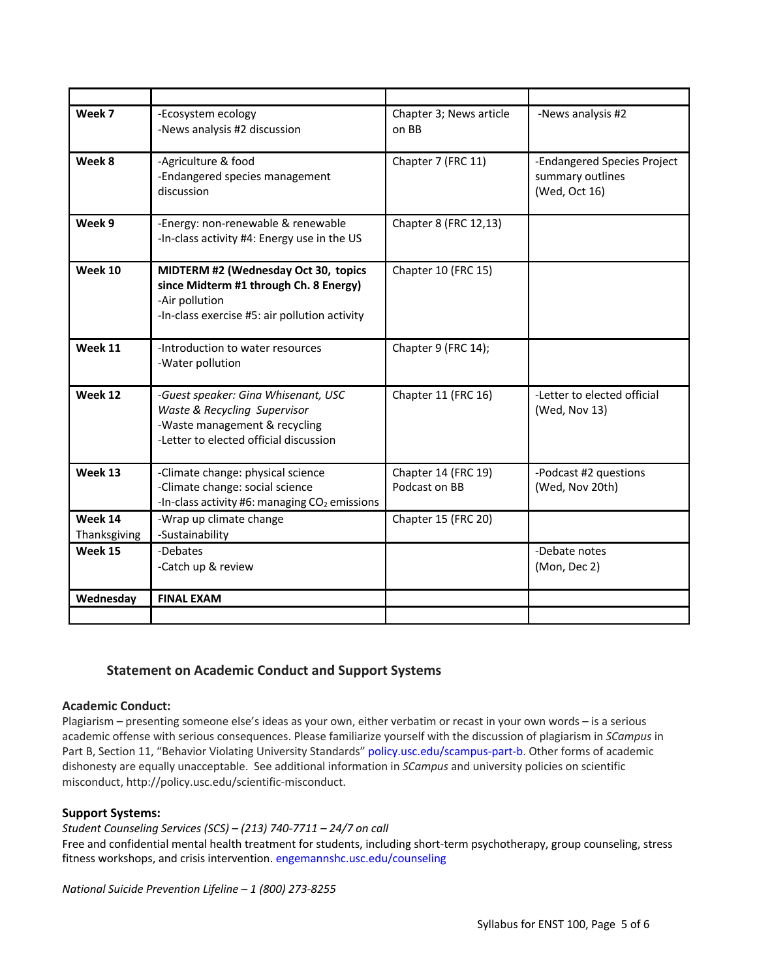| Week 7                  | -Ecosystem ecology<br>-News analysis #2 discussion                                                                                                | Chapter 3; News article<br>on BB     | -News analysis #2                                                |
|-------------------------|---------------------------------------------------------------------------------------------------------------------------------------------------|--------------------------------------|------------------------------------------------------------------|
| Week 8                  | -Agriculture & food<br>-Endangered species management<br>discussion                                                                               | Chapter 7 (FRC 11)                   | -Endangered Species Project<br>summary outlines<br>(Wed, Oct 16) |
| Week 9                  | -Energy: non-renewable & renewable<br>-In-class activity #4: Energy use in the US                                                                 | Chapter 8 (FRC 12,13)                |                                                                  |
| Week 10                 | MIDTERM #2 (Wednesday Oct 30, topics<br>since Midterm #1 through Ch. 8 Energy)<br>-Air pollution<br>-In-class exercise #5: air pollution activity | Chapter 10 (FRC 15)                  |                                                                  |
| Week 11                 | -Introduction to water resources<br>-Water pollution                                                                                              | Chapter 9 (FRC 14);                  |                                                                  |
| Week 12                 | -Guest speaker: Gina Whisenant, USC<br>Waste & Recycling Supervisor<br>-Waste management & recycling<br>-Letter to elected official discussion    | Chapter 11 (FRC 16)                  | -Letter to elected official<br>(Wed, Nov 13)                     |
| Week 13                 | -Climate change: physical science<br>-Climate change: social science<br>-In-class activity #6: managing CO <sub>2</sub> emissions                 | Chapter 14 (FRC 19)<br>Podcast on BB | -Podcast #2 questions<br>(Wed, Nov 20th)                         |
| Week 14<br>Thanksgiving | -Wrap up climate change<br>-Sustainability                                                                                                        | Chapter 15 (FRC 20)                  |                                                                  |
| Week 15                 | -Debates<br>-Catch up & review                                                                                                                    |                                      | -Debate notes<br>(Mon, Dec 2)                                    |
| Wednesday               | <b>FINAL EXAM</b>                                                                                                                                 |                                      |                                                                  |
|                         |                                                                                                                                                   |                                      |                                                                  |

## **Statement on Academic Conduct and Support Systems**

### **Academic Conduct:**

Plagiarism – presenting someone else's ideas as your own, either verbatim or recast in your own words – is a serious academic offense with serious consequences. Please familiarize yourself with the discussion of plagiarism in *SCampus* in Part B, Section 11, "Behavior Violating University Standards" policy.usc.edu/scampus-part-b. Other forms of academic dishonesty are equally unacceptable. See additional information in *SCampus* and university policies on scientific misconduct, http://policy.usc.edu/scientific-misconduct.

#### **Support Systems:**

*Student Counseling Services (SCS) – (213) 740-7711 – 24/7 on call*

Free and confidential mental health treatment for students, including short-term psychotherapy, group counseling, stress fitness workshops, and crisis intervention. engemannshc.usc.edu/counseling

*National Suicide Prevention Lifeline – 1 (800) 273-8255*